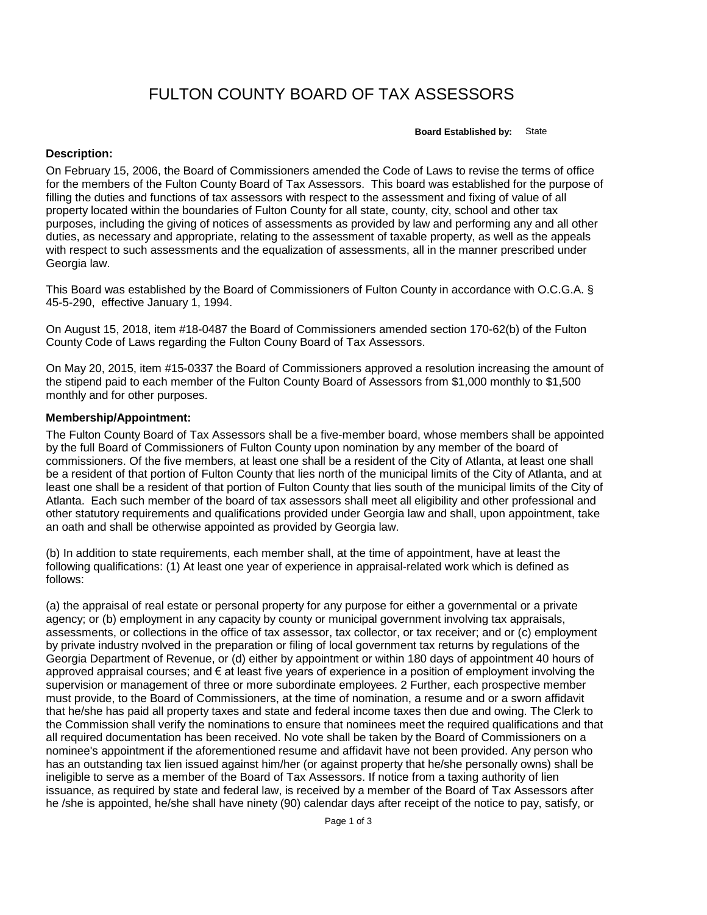## FULTON COUNTY BOARD OF TAX ASSESSORS

**Board Established by:** State

## **Description:**

On February 15, 2006, the Board of Commissioners amended the Code of Laws to revise the terms of office for the members of the Fulton County Board of Tax Assessors. This board was established for the purpose of filling the duties and functions of tax assessors with respect to the assessment and fixing of value of all property located within the boundaries of Fulton County for all state, county, city, school and other tax purposes, including the giving of notices of assessments as provided by law and performing any and all other duties, as necessary and appropriate, relating to the assessment of taxable property, as well as the appeals with respect to such assessments and the equalization of assessments, all in the manner prescribed under Georgia law.

This Board was established by the Board of Commissioners of Fulton County in accordance with O.C.G.A. § 45-5-290, effective January 1, 1994.

On August 15, 2018, item #18-0487 the Board of Commissioners amended section 170-62(b) of the Fulton County Code of Laws regarding the Fulton Couny Board of Tax Assessors.

On May 20, 2015, item #15-0337 the Board of Commissioners approved a resolution increasing the amount of the stipend paid to each member of the Fulton County Board of Assessors from \$1,000 monthly to \$1,500 monthly and for other purposes.

## **Membership/Appointment:**

The Fulton County Board of Tax Assessors shall be a five-member board, whose members shall be appointed by the full Board of Commissioners of Fulton County upon nomination by any member of the board of commissioners. Of the five members, at least one shall be a resident of the City of Atlanta, at least one shall be a resident of that portion of Fulton County that lies north of the municipal limits of the City of Atlanta, and at least one shall be a resident of that portion of Fulton County that lies south of the municipal limits of the City of Atlanta. Each such member of the board of tax assessors shall meet all eligibility and other professional and other statutory requirements and qualifications provided under Georgia law and shall, upon appointment, take an oath and shall be otherwise appointed as provided by Georgia law.

(b) In addition to state requirements, each member shall, at the time of appointment, have at least the following qualifications: (1) At least one year of experience in appraisal-related work which is defined as follows:

(a) the appraisal of real estate or personal property for any purpose for either a governmental or a private agency; or (b) employment in any capacity by county or municipal government involving tax appraisals, assessments, or collections in the office of tax assessor, tax collector, or tax receiver; and or (c) employment by private industry nvolved in the preparation or filing of local government tax returns by regulations of the Georgia Department of Revenue, or (d) either by appointment or within 180 days of appointment 40 hours of approved appraisal courses; and € at least five years of experience in a position of employment involving the supervision or management of three or more subordinate employees. 2 Further, each prospective member must provide, to the Board of Commissioners, at the time of nomination, a resume and or a sworn affidavit that he/she has paid all property taxes and state and federal income taxes then due and owing. The Clerk to the Commission shall verify the nominations to ensure that nominees meet the required qualifications and that all required documentation has been received. No vote shall be taken by the Board of Commissioners on a nominee's appointment if the aforementioned resume and affidavit have not been provided. Any person who has an outstanding tax lien issued against him/her (or against property that he/she personally owns) shall be ineligible to serve as a member of the Board of Tax Assessors. If notice from a taxing authority of lien issuance, as required by state and federal law, is received by a member of the Board of Tax Assessors after he /she is appointed, he/she shall have ninety (90) calendar days after receipt of the notice to pay, satisfy, or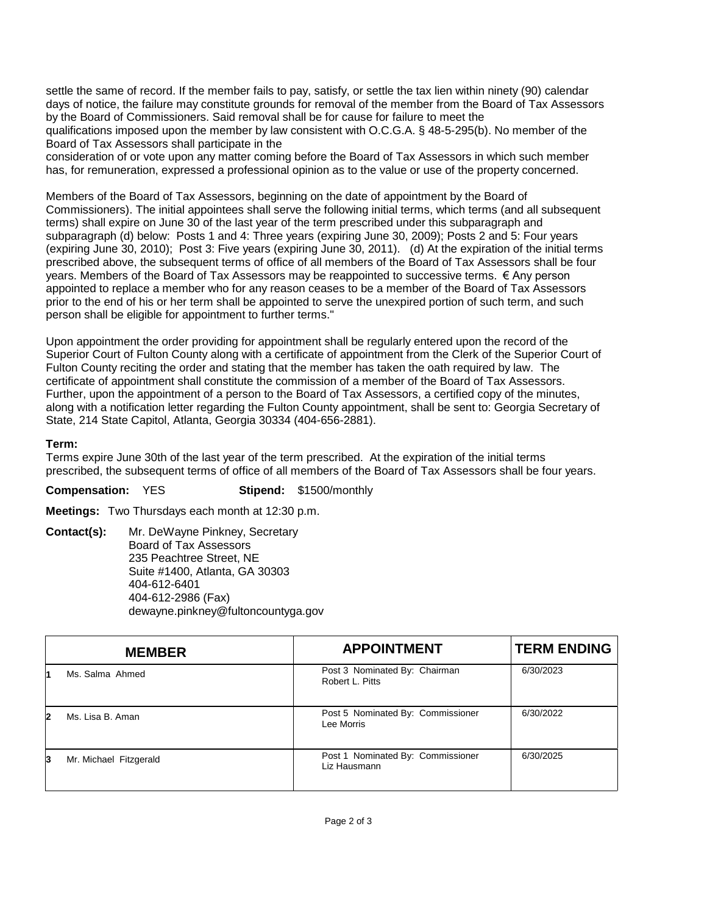settle the same of record. If the member fails to pay, satisfy, or settle the tax lien within ninety (90) calendar days of notice, the failure may constitute grounds for removal of the member from the Board of Tax Assessors by the Board of Commissioners. Said removal shall be for cause for failure to meet the qualifications imposed upon the member by law consistent with O.C.G.A. § 48-5-295(b). No member of the Board of Tax Assessors shall participate in the

consideration of or vote upon any matter coming before the Board of Tax Assessors in which such member has, for remuneration, expressed a professional opinion as to the value or use of the property concerned.

Members of the Board of Tax Assessors, beginning on the date of appointment by the Board of Commissioners). The initial appointees shall serve the following initial terms, which terms (and all subsequent terms) shall expire on June 30 of the last year of the term prescribed under this subparagraph and subparagraph (d) below: Posts 1 and 4: Three years (expiring June 30, 2009); Posts 2 and 5: Four years (expiring June 30, 2010); Post 3: Five years (expiring June 30, 2011). (d) At the expiration of the initial terms prescribed above, the subsequent terms of office of all members of the Board of Tax Assessors shall be four years. Members of the Board of Tax Assessors may be reappointed to successive terms. € Any person appointed to replace a member who for any reason ceases to be a member of the Board of Tax Assessors prior to the end of his or her term shall be appointed to serve the unexpired portion of such term, and such person shall be eligible for appointment to further terms."

Upon appointment the order providing for appointment shall be regularly entered upon the record of the Superior Court of Fulton County along with a certificate of appointment from the Clerk of the Superior Court of Fulton County reciting the order and stating that the member has taken the oath required by law. The certificate of appointment shall constitute the commission of a member of the Board of Tax Assessors. Further, upon the appointment of a person to the Board of Tax Assessors, a certified copy of the minutes, along with a notification letter regarding the Fulton County appointment, shall be sent to: Georgia Secretary of State, 214 State Capitol, Atlanta, Georgia 30334 (404-656-2881).

## **Term:**

Terms expire June 30th of the last year of the term prescribed. At the expiration of the initial terms prescribed, the subsequent terms of office of all members of the Board of Tax Assessors shall be four years.

**Compensation:** YES **Stipend:** \$1500/monthly

**Meetings:** Two Thursdays each month at 12:30 p.m.

**Contact(s):** Mr. DeWayne Pinkney, Secretary Board of Tax Assessors 235 Peachtree Street, NE Suite #1400, Atlanta, GA 30303 404-612-6401 404-612-2986 (Fax) dewayne.pinkney@fultoncountyga.gov

|    | <b>MEMBER</b>          | <b>APPOINTMENT</b>                                | <b>TERM ENDING</b> |
|----|------------------------|---------------------------------------------------|--------------------|
|    | Ms. Salma Ahmed        | Post 3 Nominated By: Chairman<br>Robert L. Pitts  | 6/30/2023          |
| 12 | Ms. Lisa B. Aman       | Post 5 Nominated By: Commissioner<br>Lee Morris   | 6/30/2022          |
| 3  | Mr. Michael Fitzgerald | Post 1 Nominated By: Commissioner<br>Liz Hausmann | 6/30/2025          |